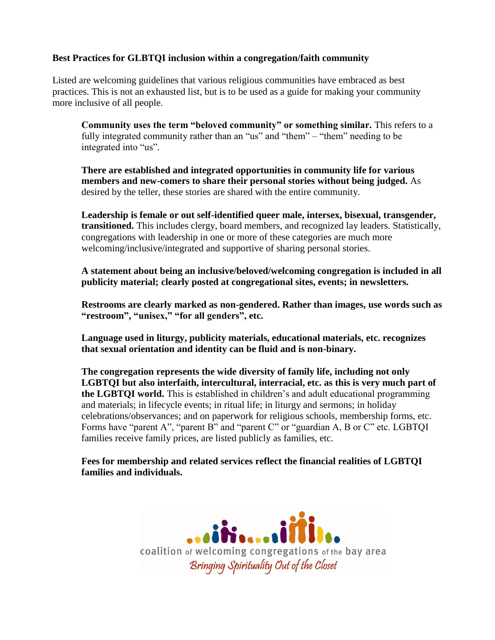## **Best Practices for GLBTQI inclusion within a congregation/faith community**

Listed are welcoming guidelines that various religious communities have embraced as best practices. This is not an exhausted list, but is to be used as a guide for making your community more inclusive of all people.

**Community uses the term "beloved community" or something similar.** This refers to a fully integrated community rather than an "us" and "them" – "them" needing to be integrated into "us".

**There are established and integrated opportunities in community life for various members and new-comers to share their personal stories without being judged.** As desired by the teller, these stories are shared with the entire community.

**Leadership is female or out self-identified queer male, intersex, bisexual, transgender, transitioned.** This includes clergy, board members, and recognized lay leaders. Statistically, congregations with leadership in one or more of these categories are much more welcoming/inclusive/integrated and supportive of sharing personal stories.

**A statement about being an inclusive/beloved/welcoming congregation is included in all publicity material; clearly posted at congregational sites, events; in newsletters.**

**Restrooms are clearly marked as non-gendered. Rather than images, use words such as "restroom", "unisex," "for all genders", etc.**

**Language used in liturgy, publicity materials, educational materials, etc. recognizes that sexual orientation and identity can be fluid and is non-binary.**

**The congregation represents the wide diversity of family life, including not only LGBTQI but also interfaith, intercultural, interracial, etc. as this is very much part of the LGBTQI world.** This is established in children's and adult educational programming and materials; in lifecycle events; in ritual life; in liturgy and sermons; in holiday celebrations/observances; and on paperwork for religious schools, membership forms, etc. Forms have "parent A", "parent B" and "parent C" or "guardian A, B or C" etc. LGBTQI families receive family prices, are listed publicly as families, etc.

**Fees for membership and related services reflect the financial realities of LGBTQI families and individuals.**

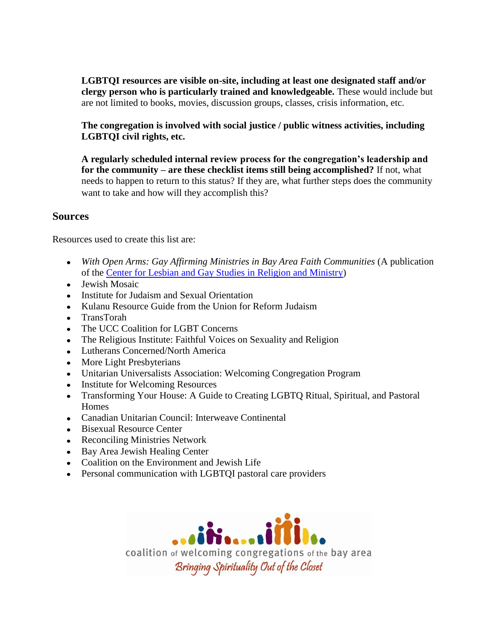**LGBTQI resources are visible on-site, including at least one designated staff and/or clergy person who is particularly trained and knowledgeable.** These would include but are not limited to books, movies, discussion groups, classes, crisis information, etc.

**The congregation is involved with social justice / public witness activities, including LGBTQI civil rights, etc.**

**A regularly scheduled internal review process for the congregation's leadership and for the community – are these checklist items still being accomplished?** If not, what needs to happen to return to this status? If they are, what further steps does the community want to take and how will they accomplish this?

## **Sources**

Resources used to create this list are:

- *With Open Arms: Gay Affirming Ministries in Bay Area Faith Communities* (A publication of the [Center for Lesbian and Gay Studies](http://clgs.org/) in Religion and Ministry)
- Jewish Mosaic
- Institute for Judaism and Sexual Orientation
- Kulanu Resource Guide from the Union for Reform Judaism
- TransTorah
- The UCC Coalition for LGBT Concerns
- The Religious Institute: Faithful Voices on Sexuality and Religion
- Lutherans Concerned/North America
- More Light Presbyterians
- Unitarian Universalists Association: Welcoming Congregation Program
- Institute for Welcoming Resources
- Transforming Your House: A Guide to Creating LGBTQ Ritual, Spiritual, and Pastoral **Homes**
- Canadian Unitarian Council: Interweave Continental
- Bisexual Resource Center
- Reconciling Ministries Network
- Bay Area Jewish Healing Center
- Coalition on the Environment and Jewish Life
- Personal communication with LGBTQI pastoral care providers